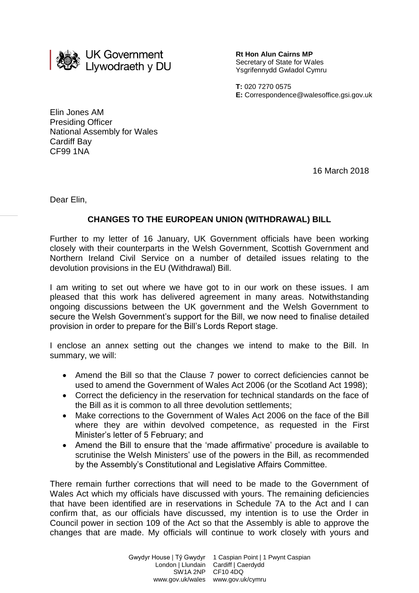

**Rt Hon Alun Cairns MP** Secretary of State for Wales Ysgrifennydd Gwladol Cymru

**T:** 020 7270 0575 **E:** Correspondence@walesoffice.gsi.gov.uk

Elin Jones AM Presiding Officer National Assembly for Wales Cardiff Bay CF99 1NA

16 March 2018

Dear Elin,

# **CHANGES TO THE EUROPEAN UNION (WITHDRAWAL) BILL**

Further to my letter of 16 January, UK Government officials have been working closely with their counterparts in the Welsh Government, Scottish Government and Northern Ireland Civil Service on a number of detailed issues relating to the devolution provisions in the EU (Withdrawal) Bill.

I am writing to set out where we have got to in our work on these issues. I am pleased that this work has delivered agreement in many areas. Notwithstanding ongoing discussions between the UK government and the Welsh Government to secure the Welsh Government's support for the Bill, we now need to finalise detailed provision in order to prepare for the Bill's Lords Report stage.

I enclose an annex setting out the changes we intend to make to the Bill. In summary, we will:

- Amend the Bill so that the Clause 7 power to correct deficiencies cannot be used to amend the Government of Wales Act 2006 (or the Scotland Act 1998);
- Correct the deficiency in the reservation for technical standards on the face of the Bill as it is common to all three devolution settlements;
- Make corrections to the Government of Wales Act 2006 on the face of the Bill where they are within devolved competence, as requested in the First Minister's letter of 5 February; and
- Amend the Bill to ensure that the 'made affirmative' procedure is available to scrutinise the Welsh Ministers' use of the powers in the Bill, as recommended by the Assembly's Constitutional and Legislative Affairs Committee.

There remain further corrections that will need to be made to the Government of Wales Act which my officials have discussed with yours. The remaining deficiencies that have been identified are in reservations in Schedule 7A to the Act and I can confirm that, as our officials have discussed, my intention is to use the Order in Council power in section 109 of the Act so that the Assembly is able to approve the changes that are made. My officials will continue to work closely with yours and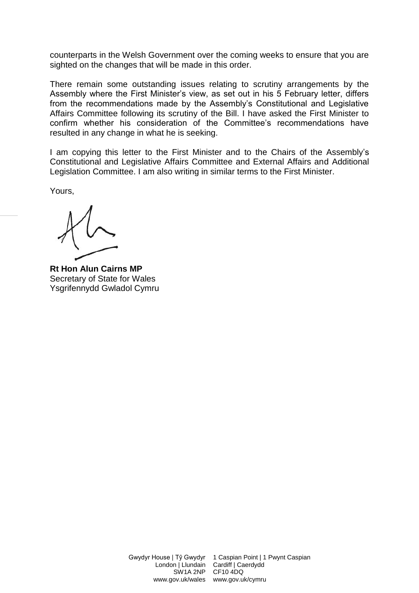counterparts in the Welsh Government over the coming weeks to ensure that you are sighted on the changes that will be made in this order.

There remain some outstanding issues relating to scrutiny arrangements by the Assembly where the First Minister's view, as set out in his 5 February letter, differs from the recommendations made by the Assembly's Constitutional and Legislative Affairs Committee following its scrutiny of the Bill. I have asked the First Minister to confirm whether his consideration of the Committee's recommendations have resulted in any change in what he is seeking.

I am copying this letter to the First Minister and to the Chairs of the Assembly's Constitutional and Legislative Affairs Committee and External Affairs and Additional Legislation Committee. I am also writing in similar terms to the First Minister.

Yours,

**Rt Hon Alun Cairns MP** Secretary of State for Wales Ysgrifennydd Gwladol Cymru

Gwydyr House | Tŷ Gwydyr London | Llundain SW1A 2NP

1 Caspian Point | 1 Pwynt Caspian Cardiff | Caerdydd CF10 4DQ www.gov.uk/wales www.gov.uk/cymru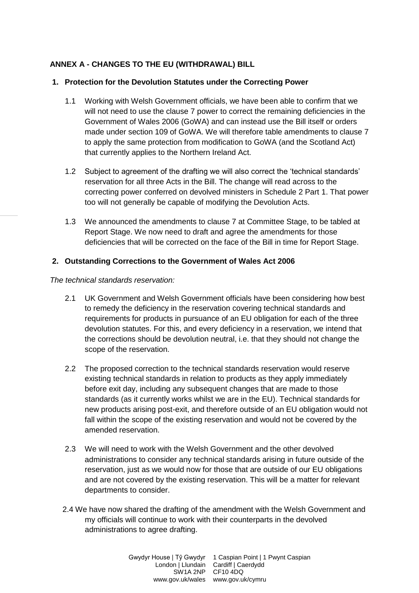## **ANNEX A - CHANGES TO THE EU (WITHDRAWAL) BILL**

### **1. Protection for the Devolution Statutes under the Correcting Power**

- 1.1 Working with Welsh Government officials, we have been able to confirm that we will not need to use the clause 7 power to correct the remaining deficiencies in the Government of Wales 2006 (GoWA) and can instead use the Bill itself or orders made under section 109 of GoWA. We will therefore table amendments to clause 7 to apply the same protection from modification to GoWA (and the Scotland Act) that currently applies to the Northern Ireland Act.
- 1.2 Subject to agreement of the drafting we will also correct the 'technical standards' reservation for all three Acts in the Bill. The change will read across to the correcting power conferred on devolved ministers in Schedule 2 Part 1. That power too will not generally be capable of modifying the Devolution Acts.
- 1.3 We announced the amendments to clause 7 at Committee Stage, to be tabled at Report Stage. We now need to draft and agree the amendments for those deficiencies that will be corrected on the face of the Bill in time for Report Stage.

### **2. Outstanding Corrections to the Government of Wales Act 2006**

#### *The technical standards reservation:*

- 2.1 UK Government and Welsh Government officials have been considering how best to remedy the deficiency in the reservation covering technical standards and requirements for products in pursuance of an EU obligation for each of the three devolution statutes. For this, and every deficiency in a reservation, we intend that the corrections should be devolution neutral, i.e. that they should not change the scope of the reservation.
- 2.2 The proposed correction to the technical standards reservation would reserve existing technical standards in relation to products as they apply immediately before exit day, including any subsequent changes that are made to those standards (as it currently works whilst we are in the EU). Technical standards for new products arising post-exit, and therefore outside of an EU obligation would not fall within the scope of the existing reservation and would not be covered by the amended reservation.
- 2.3 We will need to work with the Welsh Government and the other devolved administrations to consider any technical standards arising in future outside of the reservation, just as we would now for those that are outside of our EU obligations and are not covered by the existing reservation. This will be a matter for relevant departments to consider.
- 2.4 We have now shared the drafting of the amendment with the Welsh Government and my officials will continue to work with their counterparts in the devolved administrations to agree drafting.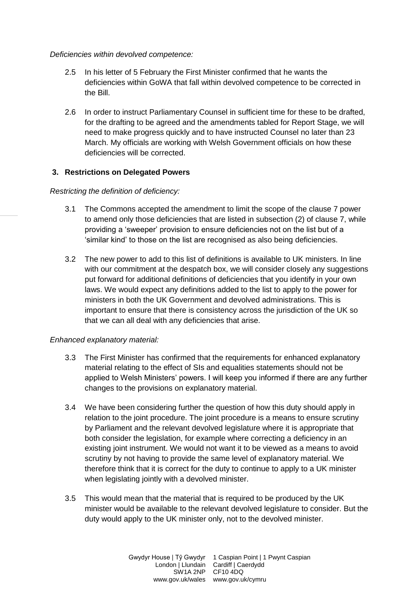#### *Deficiencies within devolved competence:*

- 2.5 In his letter of 5 February the First Minister confirmed that he wants the deficiencies within GoWA that fall within devolved competence to be corrected in the Bill.
- 2.6 In order to instruct Parliamentary Counsel in sufficient time for these to be drafted, for the drafting to be agreed and the amendments tabled for Report Stage, we will need to make progress quickly and to have instructed Counsel no later than 23 March. My officials are working with Welsh Government officials on how these deficiencies will be corrected.

### **3. Restrictions on Delegated Powers**

### *Restricting the definition of deficiency:*

- 3.1 The Commons accepted the amendment to limit the scope of the clause 7 power to amend only those deficiencies that are listed in subsection (2) of clause 7, while providing a 'sweeper' provision to ensure deficiencies not on the list but of a 'similar kind' to those on the list are recognised as also being deficiencies.
- 3.2 The new power to add to this list of definitions is available to UK ministers. In line with our commitment at the despatch box, we will consider closely any suggestions put forward for additional definitions of deficiencies that you identify in your own laws. We would expect any definitions added to the list to apply to the power for ministers in both the UK Government and devolved administrations. This is important to ensure that there is consistency across the jurisdiction of the UK so that we can all deal with any deficiencies that arise.

#### *Enhanced explanatory material:*

- 3.3 The First Minister has confirmed that the requirements for enhanced explanatory material relating to the effect of SIs and equalities statements should not be applied to Welsh Ministers' powers. I will keep you informed if there are any further changes to the provisions on explanatory material.
- 3.4 We have been considering further the question of how this duty should apply in relation to the joint procedure. The joint procedure is a means to ensure scrutiny by Parliament and the relevant devolved legislature where it is appropriate that both consider the legislation, for example where correcting a deficiency in an existing joint instrument. We would not want it to be viewed as a means to avoid scrutiny by not having to provide the same level of explanatory material. We therefore think that it is correct for the duty to continue to apply to a UK minister when legislating jointly with a devolved minister.
- 3.5 This would mean that the material that is required to be produced by the UK minister would be available to the relevant devolved legislature to consider. But the duty would apply to the UK minister only, not to the devolved minister.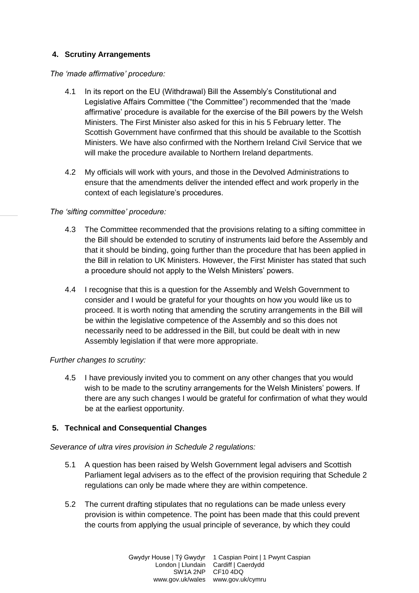## **4. Scrutiny Arrangements**

#### *The 'made affirmative' procedure:*

- 4.1 In its report on the EU (Withdrawal) Bill the Assembly's Constitutional and Legislative Affairs Committee ("the Committee") recommended that the 'made affirmative' procedure is available for the exercise of the Bill powers by the Welsh Ministers. The First Minister also asked for this in his 5 February letter. The Scottish Government have confirmed that this should be available to the Scottish Ministers. We have also confirmed with the Northern Ireland Civil Service that we will make the procedure available to Northern Ireland departments.
- 4.2 My officials will work with yours, and those in the Devolved Administrations to ensure that the amendments deliver the intended effect and work properly in the context of each legislature's procedures.

## *The 'sifting committee' procedure:*

- 4.3 The Committee recommended that the provisions relating to a sifting committee in the Bill should be extended to scrutiny of instruments laid before the Assembly and that it should be binding, going further than the procedure that has been applied in the Bill in relation to UK Ministers. However, the First Minister has stated that such a procedure should not apply to the Welsh Ministers' powers.
- 4.4 I recognise that this is a question for the Assembly and Welsh Government to consider and I would be grateful for your thoughts on how you would like us to proceed. It is worth noting that amending the scrutiny arrangements in the Bill will be within the legislative competence of the Assembly and so this does not necessarily need to be addressed in the Bill, but could be dealt with in new Assembly legislation if that were more appropriate.

# *Further changes to scrutiny:*

4.5 I have previously invited you to comment on any other changes that you would wish to be made to the scrutiny arrangements for the Welsh Ministers' powers. If there are any such changes I would be grateful for confirmation of what they would be at the earliest opportunity.

# **5. Technical and Consequential Changes**

## *Severance of ultra vires provision in Schedule 2 regulations:*

- 5.1 A question has been raised by Welsh Government legal advisers and Scottish Parliament legal advisers as to the effect of the provision requiring that Schedule 2 regulations can only be made where they are within competence.
- 5.2 The current drafting stipulates that no regulations can be made unless every provision is within competence. The point has been made that this could prevent the courts from applying the usual principle of severance, by which they could